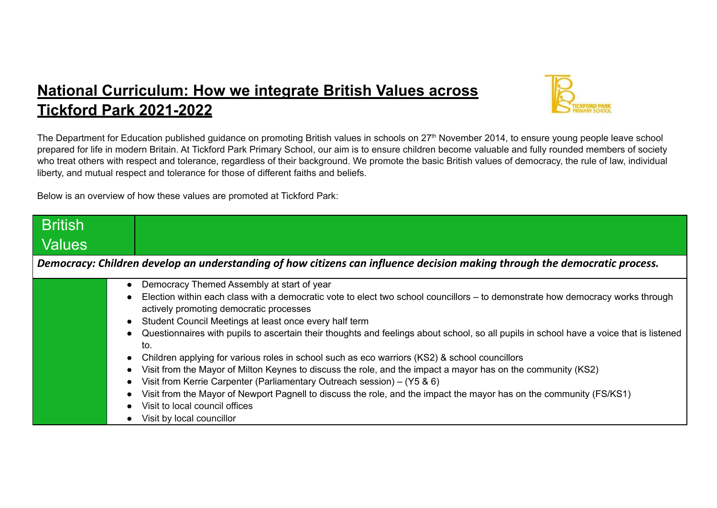## **National Curriculum: How we integrate British Values across Tickford Park 2021-2022**



The Department for Education published guidance on promoting British values in schools on 27<sup>th</sup> November 2014, to ensure young people leave school prepared for life in modern Britain. At Tickford Park Primary School, our aim is to ensure children become valuable and fully rounded members of society who treat others with respect and tolerance, regardless of their background. We promote the basic British values of democracy, the rule of law, individual liberty, and mutual respect and tolerance for those of different faiths and beliefs.

Below is an overview of how these values are promoted at Tickford Park:

| <b>British</b>                                                                                                             |                                                                                                                                                                                                                                                                                                                                                                                                                                                                                                                                      |  |
|----------------------------------------------------------------------------------------------------------------------------|--------------------------------------------------------------------------------------------------------------------------------------------------------------------------------------------------------------------------------------------------------------------------------------------------------------------------------------------------------------------------------------------------------------------------------------------------------------------------------------------------------------------------------------|--|
| Values                                                                                                                     |                                                                                                                                                                                                                                                                                                                                                                                                                                                                                                                                      |  |
| Democracy: Children develop an understanding of how citizens can influence decision making through the democratic process. |                                                                                                                                                                                                                                                                                                                                                                                                                                                                                                                                      |  |
|                                                                                                                            | Democracy Themed Assembly at start of year<br>Election within each class with a democratic vote to elect two school councillors – to demonstrate how democracy works through<br>actively promoting democratic processes<br>Student Council Meetings at least once every half term<br>Questionnaires with pupils to ascertain their thoughts and feelings about school, so all pupils in school have a voice that is listened<br>to.<br>Children applying for various roles in school such as eco warriors (KS2) & school councillors |  |
|                                                                                                                            | Visit from the Mayor of Milton Keynes to discuss the role, and the impact a mayor has on the community (KS2)<br>Visit from Kerrie Carpenter (Parliamentary Outreach session) – (Y5 & 6)<br>Visit from the Mayor of Newport Pagnell to discuss the role, and the impact the mayor has on the community (FS/KS1)<br>Visit to local council offices<br>Visit by local councillor                                                                                                                                                        |  |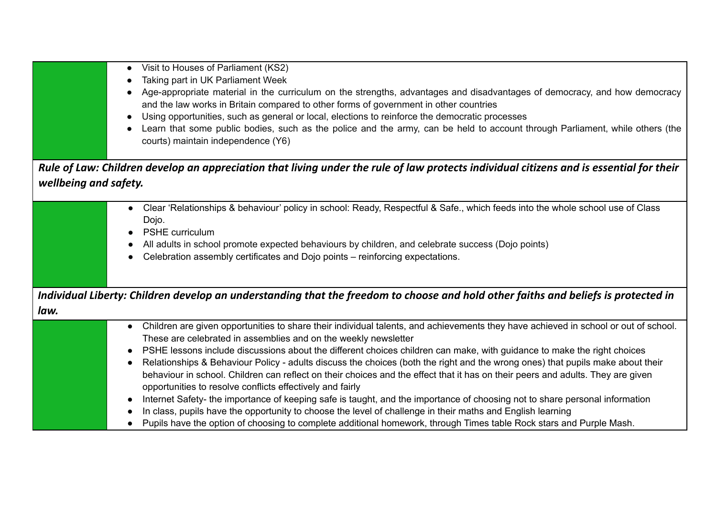|                       | Visit to Houses of Parliament (KS2)<br>$\bullet$<br>Taking part in UK Parliament Week<br>Age-appropriate material in the curriculum on the strengths, advantages and disadvantages of democracy, and how democracy<br>and the law works in Britain compared to other forms of government in other countries<br>Using opportunities, such as general or local, elections to reinforce the democratic processes                                                                                                                                                                                                                                                                                                                                                                                                                                                                                                                                                                                                                                        |
|-----------------------|------------------------------------------------------------------------------------------------------------------------------------------------------------------------------------------------------------------------------------------------------------------------------------------------------------------------------------------------------------------------------------------------------------------------------------------------------------------------------------------------------------------------------------------------------------------------------------------------------------------------------------------------------------------------------------------------------------------------------------------------------------------------------------------------------------------------------------------------------------------------------------------------------------------------------------------------------------------------------------------------------------------------------------------------------|
|                       | Learn that some public bodies, such as the police and the army, can be held to account through Parliament, while others (the<br>courts) maintain independence (Y6)                                                                                                                                                                                                                                                                                                                                                                                                                                                                                                                                                                                                                                                                                                                                                                                                                                                                                   |
| wellbeing and safety. | Rule of Law: Children develop an appreciation that living under the rule of law protects individual citizens and is essential for their                                                                                                                                                                                                                                                                                                                                                                                                                                                                                                                                                                                                                                                                                                                                                                                                                                                                                                              |
|                       | • Clear 'Relationships & behaviour' policy in school: Ready, Respectful & Safe., which feeds into the whole school use of Class<br>Dojo.<br>PSHE curriculum<br>All adults in school promote expected behaviours by children, and celebrate success (Dojo points)<br>Celebration assembly certificates and Dojo points - reinforcing expectations.                                                                                                                                                                                                                                                                                                                                                                                                                                                                                                                                                                                                                                                                                                    |
| law.                  | Individual Liberty: Children develop an understanding that the freedom to choose and hold other faiths and beliefs is protected in                                                                                                                                                                                                                                                                                                                                                                                                                                                                                                                                                                                                                                                                                                                                                                                                                                                                                                                   |
|                       | Children are given opportunities to share their individual talents, and achievements they have achieved in school or out of school.<br>$\bullet$<br>These are celebrated in assemblies and on the weekly newsletter<br>PSHE lessons include discussions about the different choices children can make, with guidance to make the right choices<br>Relationships & Behaviour Policy - adults discuss the choices (both the right and the wrong ones) that pupils make about their<br>behaviour in school. Children can reflect on their choices and the effect that it has on their peers and adults. They are given<br>opportunities to resolve conflicts effectively and fairly<br>Internet Safety- the importance of keeping safe is taught, and the importance of choosing not to share personal information<br>In class, pupils have the opportunity to choose the level of challenge in their maths and English learning<br>Pupils have the option of choosing to complete additional homework, through Times table Rock stars and Purple Mash. |